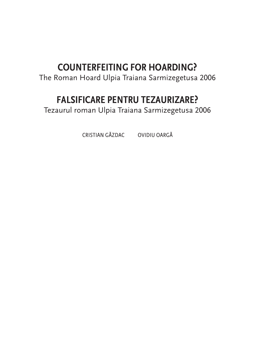### **COUNTERFEITING FOR HOARDING?**

The Roman Hoard Ulpia Traiana Sarmizegetusa 2006

### **FALSIFICARE PENTRU TEZAURIZARE?**

Tezaurul roman Ulpia Traiana Sarmizegetusa 2006

CRISTIAN GĂZDAC OVIDIU OARGĂ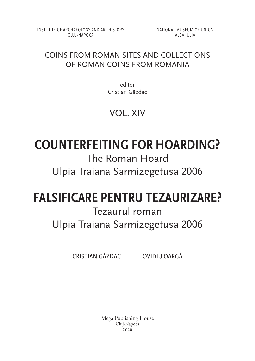INSTITUTE OF ARCHAEOLOGY AND ART HISTORY CLUJ-NAPOCA

NATIONAL MUSEUM OF UNION ALBA IULIA

#### COINS FROM ROMAN SITES AND COLLECTIONS OF ROMAN COINS FROM ROMANIA

editor Cristian Găzdac

### VOL. XIV

# **COUNTERFEITING FOR HOARDING?**

The Roman Hoard Ulpia Traiana Sarmizegetusa 2006

## **FALSIFICARE PENTRU TEZAURIZARE?**

## Tezaurul roman Ulpia Traiana Sarmizegetusa 2006

CRISTIAN GĂZDAC OVIDIU OARGĂ

Mega Publishing House Cluj‑Napoca 2020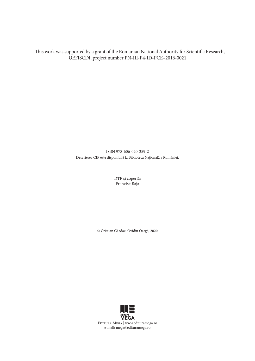This work was supported by a grant of the Romanian National Authority for Scientific Research, UEFISCDI, project number PN-III-P4-ID-PCE–2016-0021

> ISBN 978-606-020-259-2 Descrierea CIP este disponibilă la Biblioteca Națională a României.

> > DTP şi copertă: Francisc Baja

© Cristian Găzdac, Ovidiu Oargă, 2020

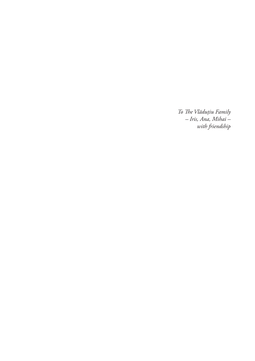*To The Vlăduțiu Family – Iris, Ana, Mihai – with friendship*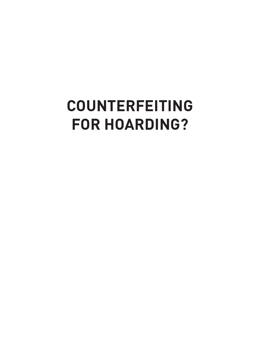# **COUNTERFEITING FOR HOARDING?**